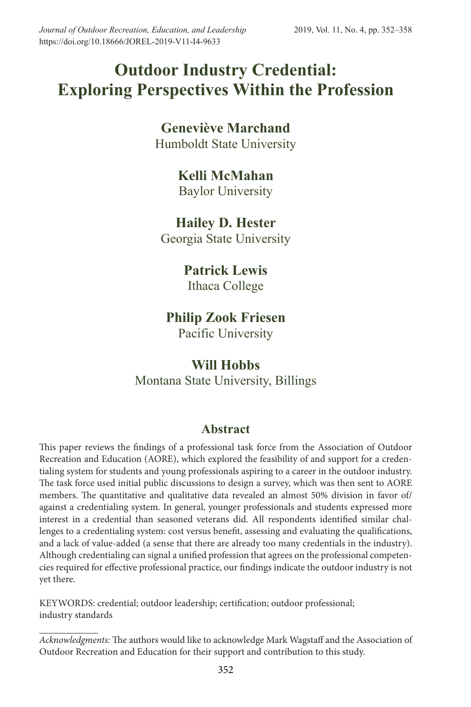## **Outdoor Industry Credential: Exploring Perspectives Within the Profession**

## **Geneviève Marchand** Humboldt State University

## **Kelli McMahan**

Baylor University

## **Hailey D. Hester** Georgia State University

## **Patrick Lewis**

Ithaca College

### **Philip Zook Friesen** Pacific University

# **Will Hobbs**

Montana State University, Billings

## **Abstract**

This paper reviews the findings of a professional task force from the Association of Outdoor Recreation and Education (AORE), which explored the feasibility of and support for a credentialing system for students and young professionals aspiring to a career in the outdoor industry. The task force used initial public discussions to design a survey, which was then sent to AORE members. The quantitative and qualitative data revealed an almost 50% division in favor of/ against a credentialing system. In general, younger professionals and students expressed more interest in a credential than seasoned veterans did. All respondents identified similar challenges to a credentialing system: cost versus benefit, assessing and evaluating the qualifications, and a lack of value-added (a sense that there are already too many credentials in the industry). Although credentialing can signal a unified profession that agrees on the professional competencies required for effective professional practice, our findings indicate the outdoor industry is not yet there.

KEYWORDS: credential; outdoor leadership; certification; outdoor professional; industry standards

*Acknowledgments:* The authors would like to acknowledge Mark Wagstaff and the Association of Outdoor Recreation and Education for their support and contribution to this study.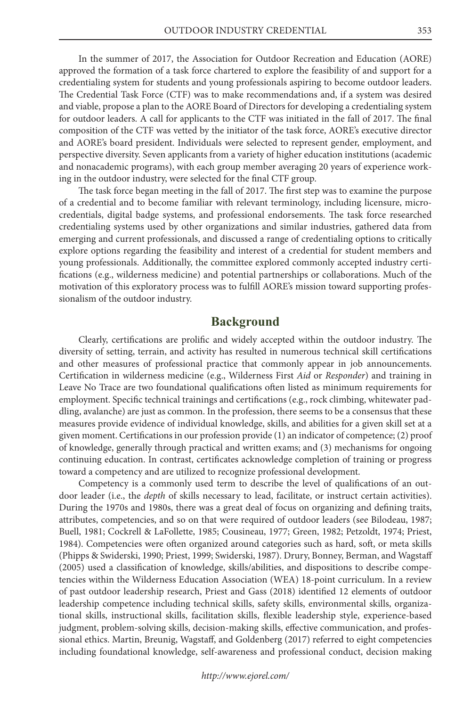In the summer of 2017, the Association for Outdoor Recreation and Education (AORE) approved the formation of a task force chartered to explore the feasibility of and support for a credentialing system for students and young professionals aspiring to become outdoor leaders. The Credential Task Force (CTF) was to make recommendations and, if a system was desired and viable, propose a plan to the AORE Board of Directors for developing a credentialing system for outdoor leaders. A call for applicants to the CTF was initiated in the fall of 2017. The final composition of the CTF was vetted by the initiator of the task force, AORE's executive director and AORE's board president. Individuals were selected to represent gender, employment, and perspective diversity. Seven applicants from a variety of higher education institutions (academic and nonacademic programs), with each group member averaging 20 years of experience working in the outdoor industry, were selected for the final CTF group.

The task force began meeting in the fall of 2017. The first step was to examine the purpose of a credential and to become familiar with relevant terminology, including licensure, microcredentials, digital badge systems, and professional endorsements. The task force researched credentialing systems used by other organizations and similar industries, gathered data from emerging and current professionals, and discussed a range of credentialing options to critically explore options regarding the feasibility and interest of a credential for student members and young professionals. Additionally, the committee explored commonly accepted industry certifications (e.g., wilderness medicine) and potential partnerships or collaborations. Much of the motivation of this exploratory process was to fulfill AORE's mission toward supporting professionalism of the outdoor industry.

#### **Background**

Clearly, certifications are prolific and widely accepted within the outdoor industry. The diversity of setting, terrain, and activity has resulted in numerous technical skill certifications and other measures of professional practice that commonly appear in job announcements. Certification in wilderness medicine (e.g., Wilderness First *Aid* or *Responder*) and training in Leave No Trace are two foundational qualifications often listed as minimum requirements for employment. Specific technical trainings and certifications (e.g., rock climbing, whitewater paddling, avalanche) are just as common. In the profession, there seems to be a consensus that these measures provide evidence of individual knowledge, skills, and abilities for a given skill set at a given moment. Certifications in our profession provide (1) an indicator of competence; (2) proof of knowledge, generally through practical and written exams; and (3) mechanisms for ongoing continuing education. In contrast, certificates acknowledge completion of training or progress toward a competency and are utilized to recognize professional development.

Competency is a commonly used term to describe the level of qualifications of an outdoor leader (i.e., the *depth* of skills necessary to lead, facilitate, or instruct certain activities). During the 1970s and 1980s, there was a great deal of focus on organizing and defining traits, attributes, competencies, and so on that were required of outdoor leaders (see Bilodeau, 1987; Buell, 1981; Cockrell & LaFollette, 1985; Cousineau, 1977; Green, 1982; Petzoldt, 1974; Priest, 1984). Competencies were often organized around categories such as hard, soft, or meta skills (Phipps & Swiderski, 1990; Priest, 1999; Swiderski, 1987). Drury, Bonney, Berman, and Wagstaff (2005) used a classification of knowledge, skills/abilities, and dispositions to describe competencies within the Wilderness Education Association (WEA) 18-point curriculum. In a review of past outdoor leadership research, Priest and Gass (2018) identified 12 elements of outdoor leadership competence including technical skills, safety skills, environmental skills, organizational skills, instructional skills, facilitation skills, flexible leadership style, experience-based judgment, problem-solving skills, decision-making skills, effective communication, and professional ethics. Martin, Breunig, Wagstaff, and Goldenberg (2017) referred to eight competencies including foundational knowledge, self-awareness and professional conduct, decision making

*http://www.ejorel.com/*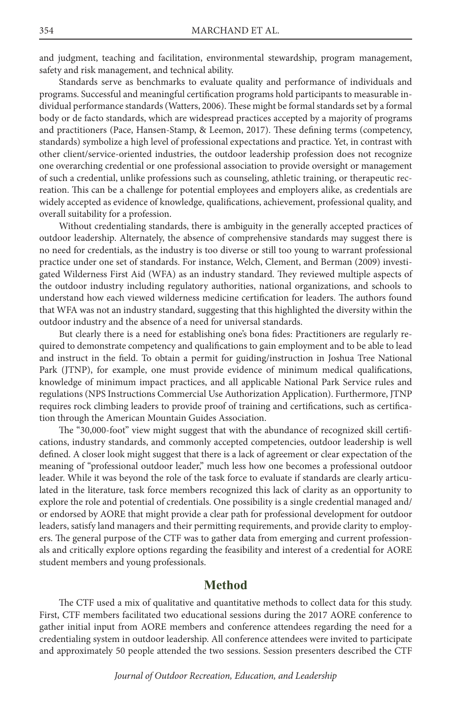and judgment, teaching and facilitation, environmental stewardship, program management, safety and risk management, and technical ability.

Standards serve as benchmarks to evaluate quality and performance of individuals and programs. Successful and meaningful certification programs hold participants to measurable individual performance standards (Watters, 2006). These might be formal standards set by a formal body or de facto standards, which are widespread practices accepted by a majority of programs and practitioners (Pace, Hansen-Stamp, & Leemon, 2017). These defining terms (competency, standards) symbolize a high level of professional expectations and practice. Yet, in contrast with other client/service-oriented industries, the outdoor leadership profession does not recognize one overarching credential or one professional association to provide oversight or management of such a credential, unlike professions such as counseling, athletic training, or therapeutic recreation. This can be a challenge for potential employees and employers alike, as credentials are widely accepted as evidence of knowledge, qualifications, achievement, professional quality, and overall suitability for a profession.

Without credentialing standards, there is ambiguity in the generally accepted practices of outdoor leadership. Alternately, the absence of comprehensive standards may suggest there is no need for credentials, as the industry is too diverse or still too young to warrant professional practice under one set of standards. For instance, Welch, Clement, and Berman (2009) investigated Wilderness First Aid (WFA) as an industry standard. They reviewed multiple aspects of the outdoor industry including regulatory authorities, national organizations, and schools to understand how each viewed wilderness medicine certification for leaders. The authors found that WFA was not an industry standard, suggesting that this highlighted the diversity within the outdoor industry and the absence of a need for universal standards.

But clearly there is a need for establishing one's bona fides: Practitioners are regularly required to demonstrate competency and qualifications to gain employment and to be able to lead and instruct in the field. To obtain a permit for guiding/instruction in Joshua Tree National Park (JTNP), for example, one must provide evidence of minimum medical qualifications, knowledge of minimum impact practices, and all applicable National Park Service rules and regulations (NPS Instructions Commercial Use Authorization Application). Furthermore, JTNP requires rock climbing leaders to provide proof of training and certifications, such as certification through the American Mountain Guides Association.

The "30,000-foot" view might suggest that with the abundance of recognized skill certifications, industry standards, and commonly accepted competencies, outdoor leadership is well defined. A closer look might suggest that there is a lack of agreement or clear expectation of the meaning of "professional outdoor leader," much less how one becomes a professional outdoor leader. While it was beyond the role of the task force to evaluate if standards are clearly articulated in the literature, task force members recognized this lack of clarity as an opportunity to explore the role and potential of credentials. One possibility is a single credential managed and/ or endorsed by AORE that might provide a clear path for professional development for outdoor leaders, satisfy land managers and their permitting requirements, and provide clarity to employers. The general purpose of the CTF was to gather data from emerging and current professionals and critically explore options regarding the feasibility and interest of a credential for AORE student members and young professionals.

#### **Method**

The CTF used a mix of qualitative and quantitative methods to collect data for this study. First, CTF members facilitated two educational sessions during the 2017 AORE conference to gather initial input from AORE members and conference attendees regarding the need for a credentialing system in outdoor leadership. All conference attendees were invited to participate and approximately 50 people attended the two sessions. Session presenters described the CTF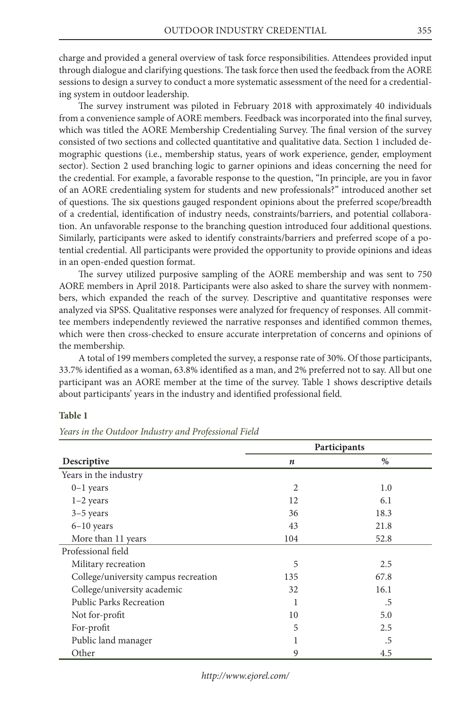charge and provided a general overview of task force responsibilities. Attendees provided input through dialogue and clarifying questions. The task force then used the feedback from the AORE sessions to design a survey to conduct a more systematic assessment of the need for a credentialing system in outdoor leadership.

The survey instrument was piloted in February 2018 with approximately 40 individuals from a convenience sample of AORE members. Feedback was incorporated into the final survey, which was titled the AORE Membership Credentialing Survey. The final version of the survey consisted of two sections and collected quantitative and qualitative data. Section 1 included demographic questions (i.e., membership status, years of work experience, gender, employment sector). Section 2 used branching logic to garner opinions and ideas concerning the need for the credential. For example, a favorable response to the question, "In principle, are you in favor of an AORE credentialing system for students and new professionals?" introduced another set of questions. The six questions gauged respondent opinions about the preferred scope/breadth of a credential, identification of industry needs, constraints/barriers, and potential collaboration. An unfavorable response to the branching question introduced four additional questions. Similarly, participants were asked to identify constraints/barriers and preferred scope of a potential credential. All participants were provided the opportunity to provide opinions and ideas in an open-ended question format.

The survey utilized purposive sampling of the AORE membership and was sent to 750 AORE members in April 2018. Participants were also asked to share the survey with nonmembers, which expanded the reach of the survey. Descriptive and quantitative responses were analyzed via SPSS. Qualitative responses were analyzed for frequency of responses. All committee members independently reviewed the narrative responses and identified common themes, which were then cross-checked to ensure accurate interpretation of concerns and opinions of the membership.

A total of 199 members completed the survey, a response rate of 30%. Of those participants, 33.7% identified as a woman, 63.8% identified as a man, and 2% preferred not to say. All but one participant was an AORE member at the time of the survey. Table 1 shows descriptive details about participants' years in the industry and identified professional field.

#### **Table 1**

|                                      | Participants   |      |
|--------------------------------------|----------------|------|
| Descriptive                          | n              | $\%$ |
| Years in the industry                |                |      |
| $0-1$ years                          | $\overline{2}$ | 1.0  |
| $1-2$ years                          | 12             | 6.1  |
| $3-5$ years                          | 36             | 18.3 |
| $6-10$ years                         | 43             | 21.8 |
| More than 11 years                   | 104            | 52.8 |
| Professional field                   |                |      |
| Military recreation                  | 5              | 2.5  |
| College/university campus recreation | 135            | 67.8 |
| College/university academic          | 32             | 16.1 |
| <b>Public Parks Recreation</b>       | 1              | .5   |
| Not for-profit                       | 10             | 5.0  |
| For-profit                           | 5              | 2.5  |
| Public land manager                  | 1              | .5   |
| Other                                | 9              | 4.5  |

*Years in the Outdoor Industry and Professional Field*

*http://www.ejorel.com/*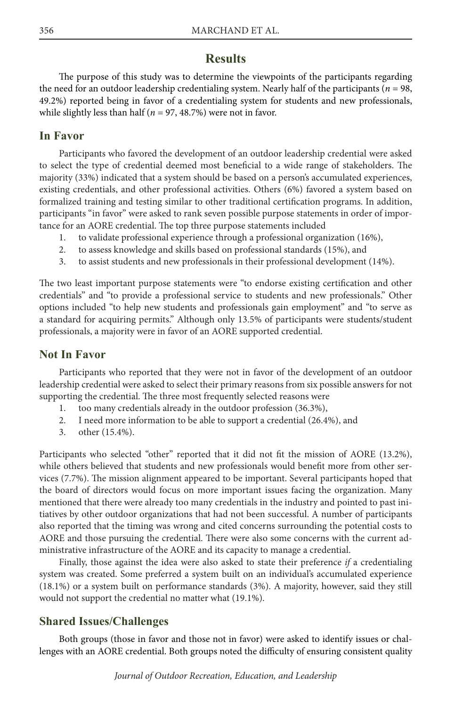#### **Results**

The purpose of this study was to determine the viewpoints of the participants regarding the need for an outdoor leadership credentialing system. Nearly half of the participants ( $n = 98$ , 49.2%) reported being in favor of a credentialing system for students and new professionals, while slightly less than half ( $n = 97, 48.7\%$ ) were not in favor.

#### **In Favor**

Participants who favored the development of an outdoor leadership credential were asked to select the type of credential deemed most beneficial to a wide range of stakeholders. The majority (33%) indicated that a system should be based on a person's accumulated experiences, existing credentials, and other professional activities. Others (6%) favored a system based on formalized training and testing similar to other traditional certification programs. In addition, participants "in favor" were asked to rank seven possible purpose statements in order of importance for an AORE credential. The top three purpose statements included

- 1. to validate professional experience through a professional organization (16%),
- 2. to assess knowledge and skills based on professional standards (15%), and
- 3. to assist students and new professionals in their professional development (14%).

The two least important purpose statements were "to endorse existing certification and other credentials" and "to provide a professional service to students and new professionals." Other options included "to help new students and professionals gain employment" and "to serve as a standard for acquiring permits." Although only 13.5% of participants were students/student professionals, a majority were in favor of an AORE supported credential.

#### **Not In Favor**

Participants who reported that they were not in favor of the development of an outdoor leadership credential were asked to select their primary reasons from six possible answers for not supporting the credential. The three most frequently selected reasons were

- 1. too many credentials already in the outdoor profession (36.3%),
- 2. I need more information to be able to support a credential (26.4%), and
- 3. other (15.4%).

Participants who selected "other" reported that it did not fit the mission of AORE (13.2%), while others believed that students and new professionals would benefit more from other services (7.7%). The mission alignment appeared to be important. Several participants hoped that the board of directors would focus on more important issues facing the organization. Many mentioned that there were already too many credentials in the industry and pointed to past initiatives by other outdoor organizations that had not been successful. A number of participants also reported that the timing was wrong and cited concerns surrounding the potential costs to AORE and those pursuing the credential. There were also some concerns with the current administrative infrastructure of the AORE and its capacity to manage a credential.

Finally, those against the idea were also asked to state their preference *if* a credentialing system was created. Some preferred a system built on an individual's accumulated experience (18.1%) or a system built on performance standards (3%). A majority, however, said they still would not support the credential no matter what (19.1%).

#### **Shared Issues/Challenges**

Both groups (those in favor and those not in favor) were asked to identify issues or challenges with an AORE credential. Both groups noted the difficulty of ensuring consistent quality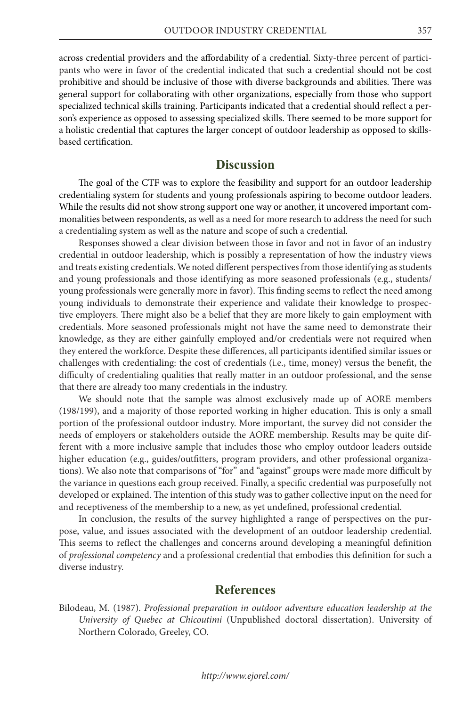across credential providers and the affordability of a credential. Sixty-three percent of participants who were in favor of the credential indicated that such a credential should not be cost prohibitive and should be inclusive of those with diverse backgrounds and abilities. There was general support for collaborating with other organizations, especially from those who support specialized technical skills training. Participants indicated that a credential should reflect a person's experience as opposed to assessing specialized skills. There seemed to be more support for a holistic credential that captures the larger concept of outdoor leadership as opposed to skillsbased certification.

#### **Discussion**

The goal of the CTF was to explore the feasibility and support for an outdoor leadership credentialing system for students and young professionals aspiring to become outdoor leaders. While the results did not show strong support one way or another, it uncovered important commonalities between respondents, as well as a need for more research to address the need for such a credentialing system as well as the nature and scope of such a credential.

Responses showed a clear division between those in favor and not in favor of an industry credential in outdoor leadership, which is possibly a representation of how the industry views and treats existing credentials. We noted different perspectives from those identifying as students and young professionals and those identifying as more seasoned professionals (e.g., students/ young professionals were generally more in favor). This finding seems to reflect the need among young individuals to demonstrate their experience and validate their knowledge to prospective employers. There might also be a belief that they are more likely to gain employment with credentials. More seasoned professionals might not have the same need to demonstrate their knowledge, as they are either gainfully employed and/or credentials were not required when they entered the workforce. Despite these differences, all participants identified similar issues or challenges with credentialing: the cost of credentials (i.e., time, money) versus the benefit, the difficulty of credentialing qualities that really matter in an outdoor professional, and the sense that there are already too many credentials in the industry.

We should note that the sample was almost exclusively made up of AORE members (198/199), and a majority of those reported working in higher education. This is only a small portion of the professional outdoor industry. More important, the survey did not consider the needs of employers or stakeholders outside the AORE membership. Results may be quite different with a more inclusive sample that includes those who employ outdoor leaders outside higher education (e.g., guides/outfitters, program providers, and other professional organizations). We also note that comparisons of "for" and "against" groups were made more difficult by the variance in questions each group received. Finally, a specific credential was purposefully not developed or explained. The intention of this study was to gather collective input on the need for and receptiveness of the membership to a new, as yet undefined, professional credential.

In conclusion, the results of the survey highlighted a range of perspectives on the purpose, value, and issues associated with the development of an outdoor leadership credential. This seems to reflect the challenges and concerns around developing a meaningful definition of *professional competency* and a professional credential that embodies this definition for such a diverse industry.

#### **References**

Bilodeau, M. (1987). *Professional preparation in outdoor adventure education leadership at the University of Quebec at Chicoutimi* (Unpublished doctoral dissertation). University of Northern Colorado, Greeley, CO.

#### *http://www.ejorel.com/*